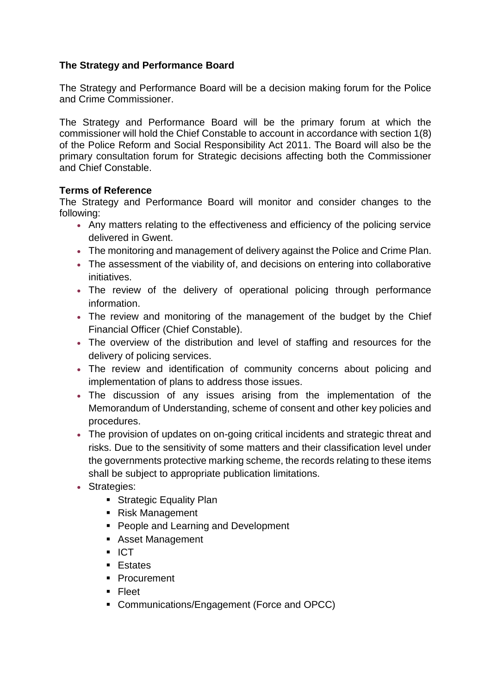# **The Strategy and Performance Board**

The Strategy and Performance Board will be a decision making forum for the Police and Crime Commissioner.

The Strategy and Performance Board will be the primary forum at which the commissioner will hold the Chief Constable to account in accordance with section 1(8) of the Police Reform and Social Responsibility Act 2011. The Board will also be the primary consultation forum for Strategic decisions affecting both the Commissioner and Chief Constable.

## **Terms of Reference**

The Strategy and Performance Board will monitor and consider changes to the following:

- Any matters relating to the effectiveness and efficiency of the policing service delivered in Gwent.
- The monitoring and management of delivery against the Police and Crime Plan.
- The assessment of the viability of, and decisions on entering into collaborative initiatives.
- The review of the delivery of operational policing through performance information.
- The review and monitoring of the management of the budget by the Chief Financial Officer (Chief Constable).
- The overview of the distribution and level of staffing and resources for the delivery of policing services.
- The review and identification of community concerns about policing and implementation of plans to address those issues.
- The discussion of any issues arising from the implementation of the Memorandum of Understanding, scheme of consent and other key policies and procedures.
- The provision of updates on on-going critical incidents and strategic threat and risks. Due to the sensitivity of some matters and their classification level under the governments protective marking scheme, the records relating to these items shall be subject to appropriate publication limitations.
- Strategies:
	- **Strategic Equality Plan**
	- Risk Management
	- **People and Learning and Development**
	- Asset Management
	- ICT
	- **Estates**
	- **Procurement**
	- Fleet
	- **Communications/Engagement (Force and OPCC)**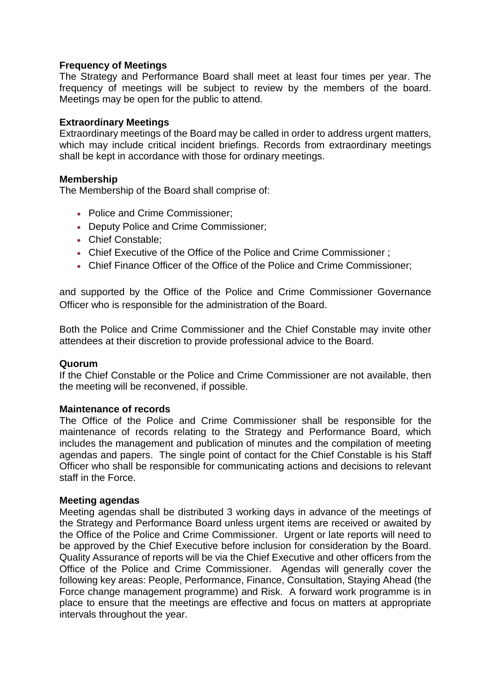## **Frequency of Meetings**

The Strategy and Performance Board shall meet at least four times per year. The frequency of meetings will be subject to review by the members of the board. Meetings may be open for the public to attend.

## **Extraordinary Meetings**

Extraordinary meetings of the Board may be called in order to address urgent matters, which may include critical incident briefings. Records from extraordinary meetings shall be kept in accordance with those for ordinary meetings.

### **Membership**

The Membership of the Board shall comprise of:

- Police and Crime Commissioner:
- Deputy Police and Crime Commissioner:
- Chief Constable:
- Chief Executive of the Office of the Police and Crime Commissioner ;
- Chief Finance Officer of the Office of the Police and Crime Commissioner;

and supported by the Office of the Police and Crime Commissioner Governance Officer who is responsible for the administration of the Board.

Both the Police and Crime Commissioner and the Chief Constable may invite other attendees at their discretion to provide professional advice to the Board.

### **Quorum**

If the Chief Constable or the Police and Crime Commissioner are not available, then the meeting will be reconvened, if possible.

### **Maintenance of records**

The Office of the Police and Crime Commissioner shall be responsible for the maintenance of records relating to the Strategy and Performance Board, which includes the management and publication of minutes and the compilation of meeting agendas and papers. The single point of contact for the Chief Constable is his Staff Officer who shall be responsible for communicating actions and decisions to relevant staff in the Force.

### **Meeting agendas**

Meeting agendas shall be distributed 3 working days in advance of the meetings of the Strategy and Performance Board unless urgent items are received or awaited by the Office of the Police and Crime Commissioner. Urgent or late reports will need to be approved by the Chief Executive before inclusion for consideration by the Board. Quality Assurance of reports will be via the Chief Executive and other officers from the Office of the Police and Crime Commissioner. Agendas will generally cover the following key areas: People, Performance, Finance, Consultation, Staying Ahead (the Force change management programme) and Risk. A forward work programme is in place to ensure that the meetings are effective and focus on matters at appropriate intervals throughout the year.